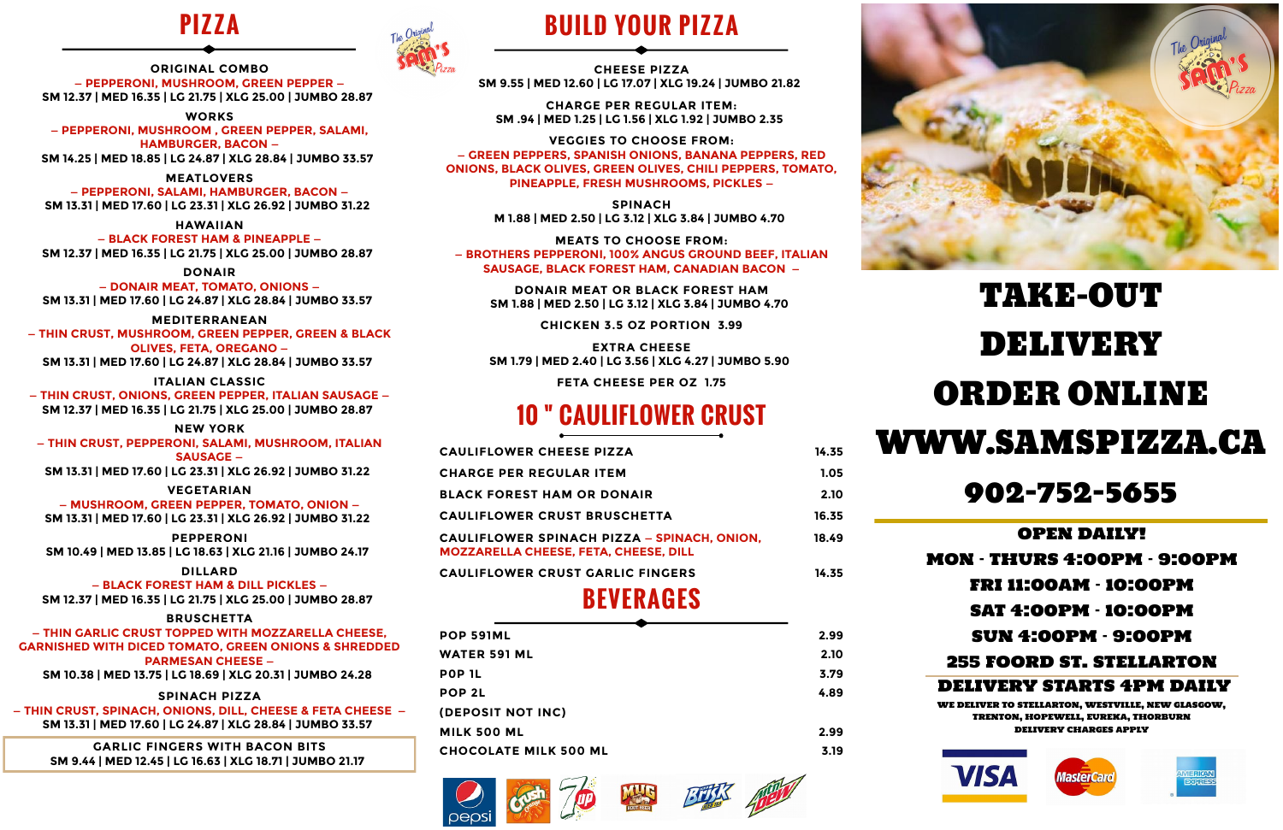### **PIZZA**



**ORIGINAL COMBO — PEPPERONI, MUSHROOM, GREEN PEPPER — SM 12.37 | MED 16.35 | LG 21.75 | XLG 25.00 | JUMBO 28.87**

**WORKS — PEPPERONI, MUSHROOM , GREEN PEPPER, SALAMI, HAMBURGER, BACON —**

**SM 14.25 | MED 18.85 | LG 24.87 | XLG 28.84 | JUMBO 33.57**

**MEATLOVERS — PEPPERONI, SALAMI, HAMBURGER, BACON —**

**SM 13.31 | MED 17.60 | LG 23.31 | XLG 26.92 | JUMBO 31.22**

**HAWAIIAN — BLACK FOREST HAM & PINEAPPLE — SM 12.37 | MED 16.35 | LG 21.75 | XLG 25.00 | JUMBO 28.87**

**DONAIR — DONAIR MEAT, TOMATO, ONIONS — SM 13.31 | MED 17.60 | LG 24.87 | XLG 28.84 | JUMBO 33.57**

### **MEDITERRANEAN**

**— THIN CRUST, MUSHROOM, GREEN PEPPER, GREEN & BLACK OLIVES, FETA, OREGANO — SM 13.31 | MED 17.60 | LG 24.87 | XLG 28.84 | JUMBO 33.57**

**ITALIAN CLASSIC**

**— THIN CRUST, ONIONS, GREEN PEPPER, ITALIAN SAUSAGE — SM 12.37 | MED 16.35 | LG 21.75 | XLG 25.00 | JUMBO 28.87**

#### **NEW YORK**

**— THIN CRUST, PEPPERONI, SALAMI, MUSHROOM, ITALIAN SAUSAGE —**

**SM 13.31 | MED 17.60 | LG 23.31 | XLG 26.92 | JUMBO 31.22**

#### **VEGETARIAN**

**— MUSHROOM, GREEN PEPPER, TOMATO, ONION — SM 13.31 | MED 17.60 | LG 23.31 | XLG 26.92 | JUMBO 31.22**

**PEPPERONI SM 10.49 | MED 13.85 | LG 18.63 | XLG 21.16 | JUMBO 24.17**

#### **DILLARD**

**— BLACK FOREST HAM & DILL PICKLES — SM 12.37 | MED 16.35 | LG 21.75 | XLG 25.00 | JUMBO 28.87**

#### **BRUSCHETTA**

**— THIN GARLIC CRUST TOPPED WITH MOZZARELLA CHEESE, GARNISHED WITH DICED TOMATO, GREEN ONIONS & SHREDDED PARMESAN CHEESE —**

**SM 10.38 | MED 13.75 | LG 18.69 | XLG 20.31 | JUMBO 24.28**

#### **SPINACH PIZZA**

**— THIN CRUST, SPINACH, ONIONS, DILL, CHEESE & FETA CHEESE — SM 13.31 | MED 17.60 | LG 24.87 | XLG 28.84 | JUMBO 33.57**

**GARLIC FINGERS WITH BACON BITS SM 9.44 | MED 12.45 | LG 16.63 | XLG 18.71 | JUMBO 21.17**

### **BUILD YOUR PIZZA**

**CHEESE PIZZA SM 9.55 | MED 12.60 | LG 17.07 | XLG 19.24 | JUMBO 21.82**

**CHARGE PER REGULAR ITEM: SM .94 | MED 1.25 | LG 1.56 | XLG 1.92 | JUMBO 2.35**

**VEGGIES TO CHOOSE FROM: — GREEN PEPPERS, SPANISH ONIONS, BANANA PEPPERS, RED ONIONS, BLACK OLIVES, GREEN OLIVES, CHILI PEPPERS, TOMATO, PINEAPPLE, FRESH MUSHROOMS, PICKLES —**

> **SPINACH M 1.88 | MED 2.50 | LG 3.12 | XLG 3.84 | JUMBO 4.70**

**MEATS TO CHOOSE FROM: — BROTHERS PEPPERONI, 100% ANGUS GROUND BEEF, ITALIAN SAUSAGE, BLACK FOREST HAM, CANADIAN BACON —**

**DONAIR MEAT OR BLACK FOREST HAM SM 1.88 | MED 2.50 | LG 3.12 | XLG 3.84 | JUMBO 4.70**

**CHICKEN 3.5 OZ PORTION 3.99**

**EXTRA CHEESE SM 1.79 | MED 2.40 | LG 3.56 | XLG 4.27 | JUMBO 5.90**

**FETA CHEESE PER OZ 1.75**

## **CAULIFLOWER CRUST**

| <b>CAULIFLOWER CHEESE PIZZA</b>                                                             | 14.35 |
|---------------------------------------------------------------------------------------------|-------|
| <b>CHARGE PER REGULAR ITEM</b>                                                              | 1.05  |
| BLACK FOREST HAM OR DONAIR                                                                  | 2.10  |
| CAULIFLOWER CRUST BRUSCHETTA                                                                | 16.35 |
| CAULIFLOWER SPINACH PIZZA – SPINACH, ONION,<br><b>MOZZARELLA CHEESE, FETA, CHEESE, DILL</b> | 18.49 |
| CAULIFLOWER CRUST GARLIC FINGERS                                                            | 14.35 |

### **BEVERAGES**

| POP 591ML                    | 2.99 |
|------------------------------|------|
| <b>WATER 591 ML</b>          | 2.10 |
| POP 1L                       | 3.79 |
| POP <sub>2L</sub>            | 4.89 |
| (DEPOSIT NOT INC)            |      |
| <b>MILK 500 ML</b>           | 2.99 |
| <b>CHOCOLATE MILK 500 ML</b> | 3.19 |
|                              |      |

















# TAKE-OUT DELIVERY ORDER ONLINE WWW.SAMSPIZZA.CA

### 902-752-5655

#### OPEN DAILY!

#### MON - THURS 4:00PM - 9:00PM

FRI 11:00AM - 10:00PM

SAT 4:00PM - 10:00PM

SUN 4:00PM - 9:00PM

255 FOORD ST. STELLARTON

DELIVERY STARTS 4PM DAILY

WE DELIVER TO STELLARTON, WESTVILLE, NEW GLASGOW, TRENTON, HOPEWELL, EUREKA, THORBURN DELIVERY CHARGES APPLY